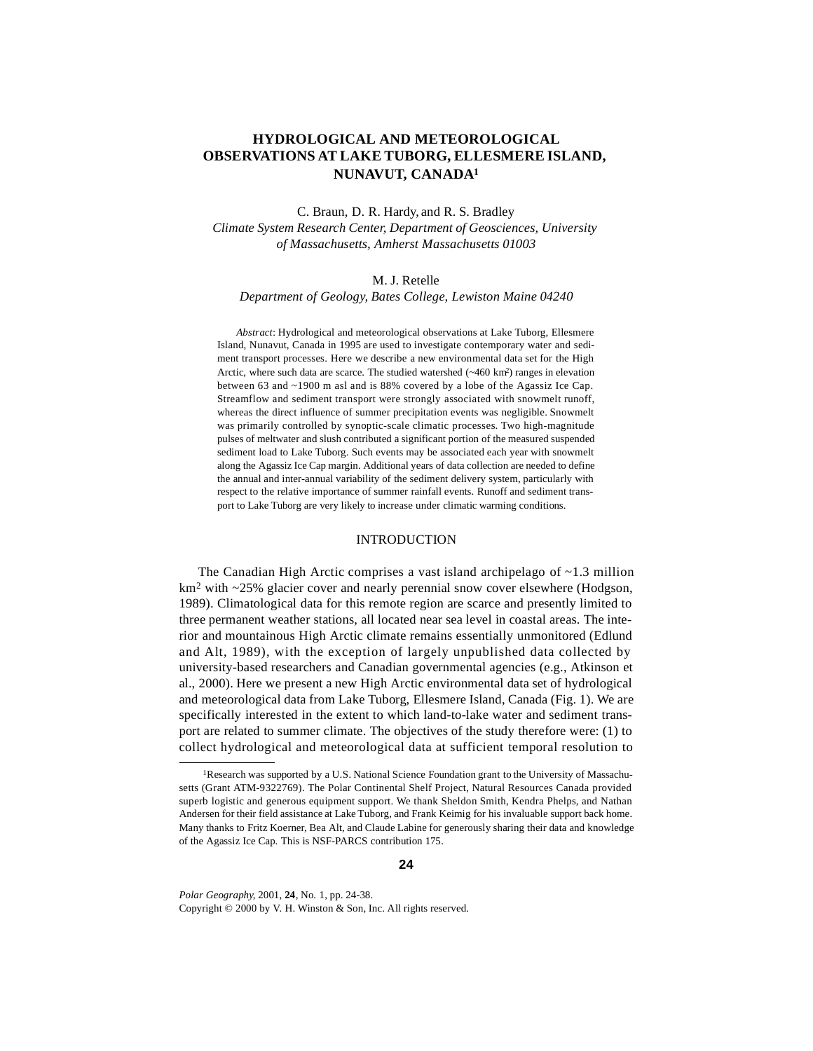# **HYDROLOGICAL AND METEOROLOGICAL OBSERVATIONS AT LAKE TUBORG, ELLESMERE ISLAND, NUNAVUT, CANADA1**

C. Braun, D. R. Hardy, and R. S. Bradley

*Climate System Research Center, Department of Geosciences, University of Massachusetts, Amherst Massachusetts 01003*

### M. J. Retelle

*Department of Geology, Bates College, Lewiston Maine 04240*

*Abstract*: Hydrological and meteorological observations at Lake Tuborg, Ellesmere Island, Nunavut, Canada in 1995 are used to investigate contemporary water and sediment transport processes. Here we describe a new environmental data set for the High Arctic, where such data are scarce. The studied watershed (~460 km2) ranges in elevation between 63 and ~1900 m asl and is 88% covered by a lobe of the Agassiz Ice Cap. Streamflow and sediment transport were strongly associated with snowmelt runoff, whereas the direct influence of summer precipitation events was negligible. Snowmelt was primarily controlled by synoptic-scale climatic processes. Two high-magnitude pulses of meltwater and slush contributed a significant portion of the measured suspended sediment load to Lake Tuborg. Such events may be associated each year with snowmelt along the Agassiz Ice Cap margin. Additional years of data collection are needed to define the annual and inter-annual variability of the sediment delivery system, particularly with respect to the relative importance of summer rainfall events. Runoff and sediment transport to Lake Tuborg are very likely to increase under climatic warming conditions.

#### INTRODUCTION

The Canadian High Arctic comprises a vast island archipelago of ~1.3 million km<sup>2</sup> with ~25% glacier cover and nearly perennial snow cover elsewhere (Hodgson, 1989). Climatological data for this remote region are scarce and presently limited to three permanent weather stations, all located near sea level in coastal areas. The interior and mountainous High Arctic climate remains essentially unmonitored (Edlund and Alt, 1989), with the exception of largely unpublished data collected by university-based researchers and Canadian governmental agencies (e.g., Atkinson et al., 2000). Here we present a new High Arctic environmental data set of hydrological and meteorological data from Lake Tuborg, Ellesmere Island, Canada (Fig. 1). We are specifically interested in the extent to which land-to-lake water and sediment transport are related to summer climate. The objectives of the study therefore were: (1) to collect hydrological and meteorological data at sufficient temporal resolution to

*Polar Geography*, 2001, **24**, No. 1, pp. 24-38.

Copyright © 2000 by V. H. Winston & Son, Inc. All rights reserved.

<sup>1</sup>Research was supported by a U.S. National Science Foundation grant to the University of Massachusetts (Grant ATM-9322769). The Polar Continental Shelf Project, Natural Resources Canada provided superb logistic and generous equipment support. We thank Sheldon Smith, Kendra Phelps, and Nathan Andersen for their field assistance at Lake Tuborg, and Frank Keimig for his invaluable support back home. Many thanks to Fritz Koerner, Bea Alt, and Claude Labine for generously sharing their data and knowledge of the Agassiz Ice Cap. This is NSF-PARCS contribution 175.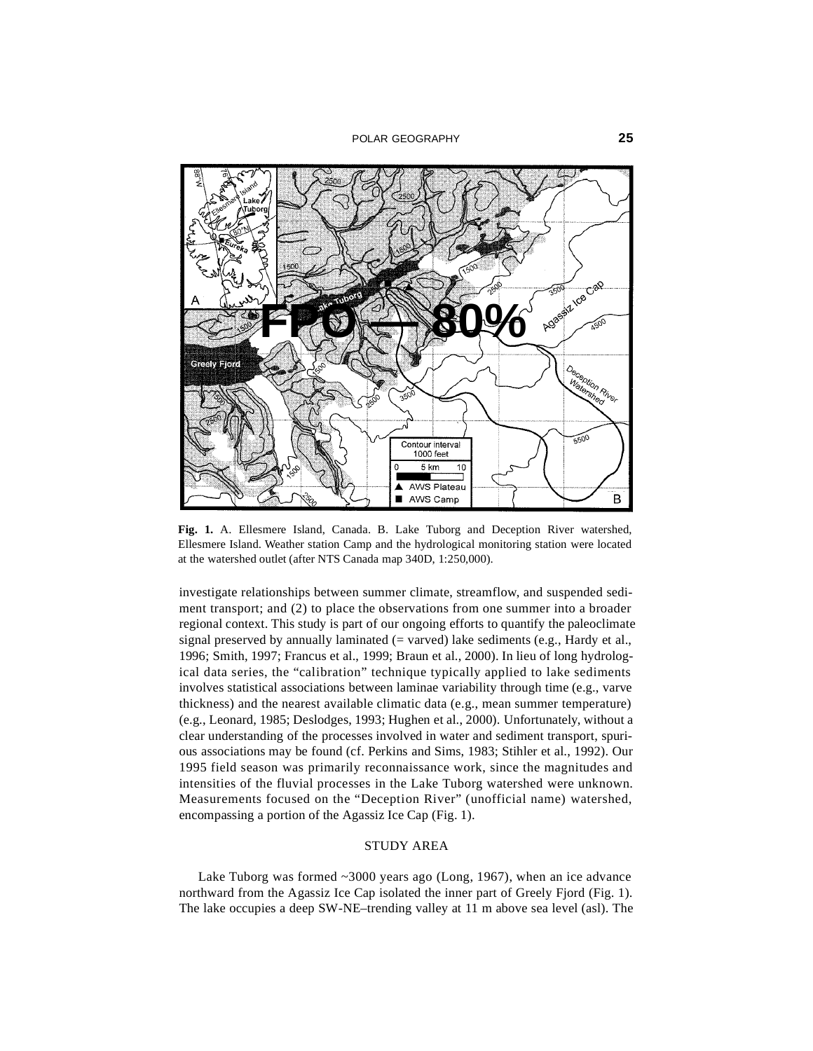

**Fig. 1.** A. Ellesmere Island, Canada. B. Lake Tuborg and Deception River watershed, Ellesmere Island. Weather station Camp and the hydrological monitoring station were located at the watershed outlet (after NTS Canada map 340D, 1:250,000).

investigate relationships between summer climate, streamflow, and suspended sediment transport; and (2) to place the observations from one summer into a broader regional context. This study is part of our ongoing efforts to quantify the paleoclimate signal preserved by annually laminated  $(=$  varved) lake sediments  $(e.g.,$  Hardy et al., 1996; Smith, 1997; Francus et al., 1999; Braun et al., 2000). In lieu of long hydrological data series, the "calibration" technique typically applied to lake sediments involves statistical associations between laminae variability through time (e.g., varve thickness) and the nearest available climatic data (e.g., mean summer temperature) (e.g., Leonard, 1985; Deslodges, 1993; Hughen et al., 2000). Unfortunately, without a clear understanding of the processes involved in water and sediment transport, spurious associations may be found (cf. Perkins and Sims, 1983; Stihler et al., 1992). Our 1995 field season was primarily reconnaissance work, since the magnitudes and intensities of the fluvial processes in the Lake Tuborg watershed were unknown. Measurements focused on the "Deception River" (unofficial name) watershed, encompassing a portion of the Agassiz Ice Cap (Fig. 1).

### STUDY AREA

Lake Tuborg was formed ~3000 years ago (Long, 1967), when an ice advance northward from the Agassiz Ice Cap isolated the inner part of Greely Fjord (Fig. 1). The lake occupies a deep SW-NE–trending valley at 11 m above sea level (asl). The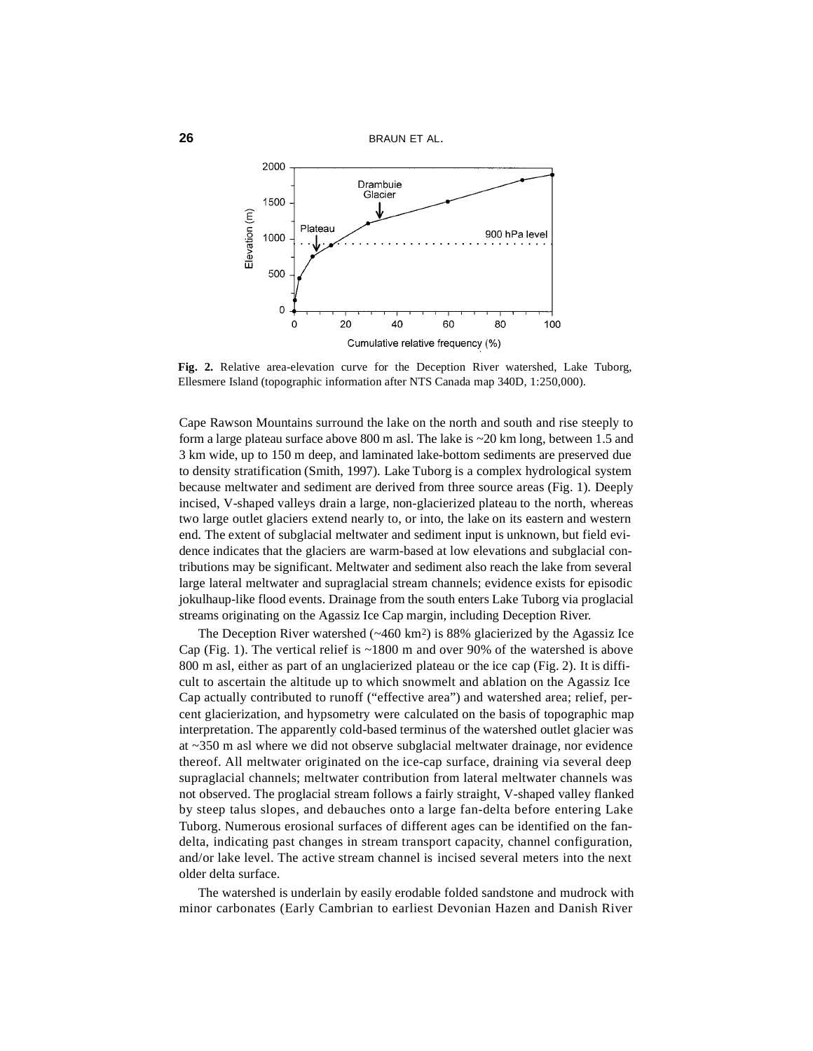

**Fig. 2.** Relative area-elevation curve for the Deception River watershed, Lake Tuborg, Ellesmere Island (topographic information after NTS Canada map 340D, 1:250,000).

Cape Rawson Mountains surround the lake on the north and south and rise steeply to form a large plateau surface above 800 m asl. The lake is ~20 km long, between 1.5 and 3 km wide, up to 150 m deep, and laminated lake-bottom sediments are preserved due to density stratification (Smith, 1997). Lake Tuborg is a complex hydrological system because meltwater and sediment are derived from three source areas (Fig. 1). Deeply incised, V-shaped valleys drain a large, non-glacierized plateau to the north, whereas two large outlet glaciers extend nearly to, or into, the lake on its eastern and western end. The extent of subglacial meltwater and sediment input is unknown, but field evidence indicates that the glaciers are warm-based at low elevations and subglacial contributions may be significant. Meltwater and sediment also reach the lake from several large lateral meltwater and supraglacial stream channels; evidence exists for episodic jokulhaup-like flood events. Drainage from the south enters Lake Tuborg via proglacial streams originating on the Agassiz Ice Cap margin, including Deception River.

The Deception River watershed  $(\sim 460 \text{ km}^2)$  is 88% glacierized by the Agassiz Ice Cap (Fig. 1). The vertical relief is ~1800 m and over 90% of the watershed is above 800 m asl, either as part of an unglacierized plateau or the ice cap (Fig. 2). It is difficult to ascertain the altitude up to which snowmelt and ablation on the Agassiz Ice Cap actually contributed to runoff ("effective area") and watershed area; relief, percent glacierization, and hypsometry were calculated on the basis of topographic map interpretation. The apparently cold-based terminus of the watershed outlet glacier was at ~350 m asl where we did not observe subglacial meltwater drainage, nor evidence thereof. All meltwater originated on the ice-cap surface, draining via several deep supraglacial channels; meltwater contribution from lateral meltwater channels was not observed. The proglacial stream follows a fairly straight, V-shaped valley flanked by steep talus slopes, and debauches onto a large fan-delta before entering Lake Tuborg. Numerous erosional surfaces of different ages can be identified on the fandelta, indicating past changes in stream transport capacity, channel configuration, and/or lake level. The active stream channel is incised several meters into the next older delta surface.

The watershed is underlain by easily erodable folded sandstone and mudrock with minor carbonates (Early Cambrian to earliest Devonian Hazen and Danish River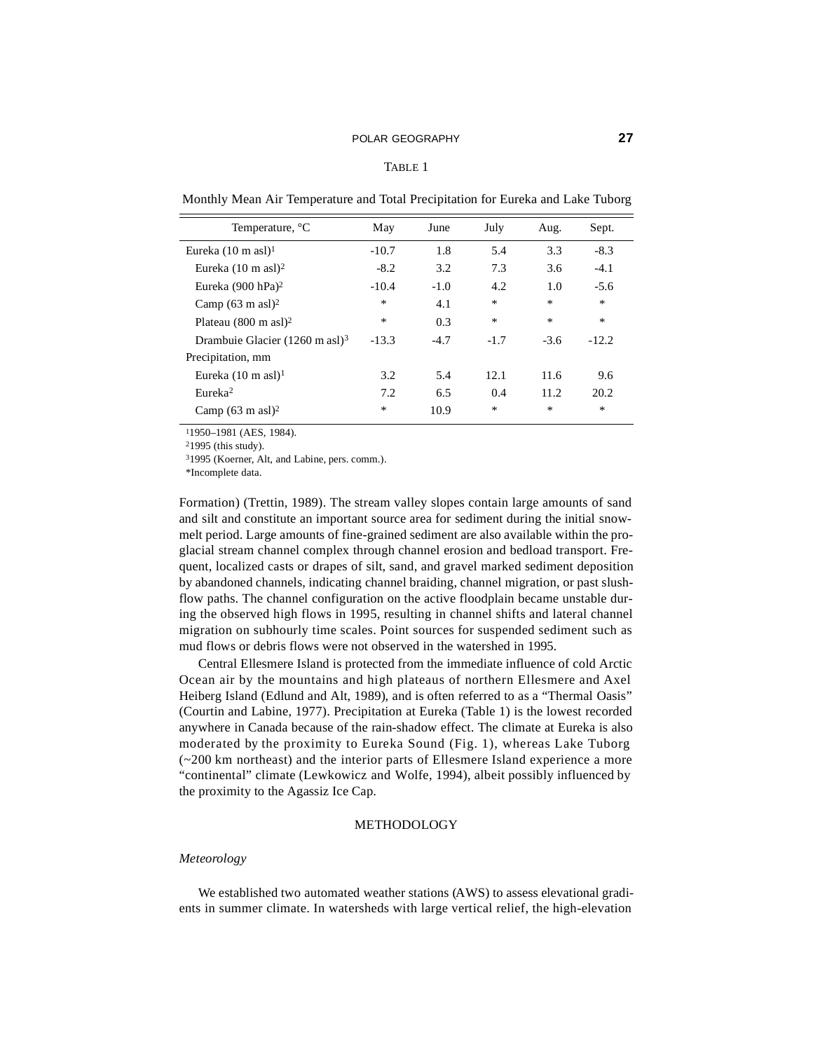#### TABLE 1

| Temperature, <sup>o</sup> C               | May     | June   | July   | Aug.   | Sept.   |
|-------------------------------------------|---------|--------|--------|--------|---------|
| Eureka $(10 \text{ m as}$ l $)^1$         | $-10.7$ | 1.8    | 5.4    | 3.3    | $-8.3$  |
| Eureka $(10 \text{ m } \text{as} 1)^2$    | $-8.2$  | 3.2    | 7.3    | 3.6    | $-4.1$  |
| Eureka (900 hPa) <sup>2</sup>             | $-10.4$ | $-1.0$ | 4.2    | 1.0    | $-5.6$  |
| Camp $(63 \text{ m as}1)^2$               | *       | 4.1    | $\ast$ | $\ast$ | $\ast$  |
| Plateau $(800 \text{ m as}1)^2$           | $\ast$  | 0.3    | $\ast$ | $\ast$ | $\ast$  |
| Drambuie Glacier $(1260 \text{ m as}1)^3$ | $-13.3$ | $-4.7$ | $-1.7$ | $-3.6$ | $-12.2$ |
| Precipitation, mm                         |         |        |        |        |         |
| Eureka $(10 \text{ m as} 1)^1$            | 3.2     | 5.4    | 12.1   | 11.6   | 9.6     |
| Eureka <sup>2</sup>                       | 7.2     | 6.5    | 0.4    | 11.2   | 20.2    |
| Camp $(63 \text{ m as}1)^2$               | *       | 10.9   | $\ast$ | $*$    | $\ast$  |

Monthly Mean Air Temperature and Total Precipitation for Eureka and Lake Tuborg

11950–1981 (AES, 1984).

21995 (this study).

31995 (Koerner, Alt, and Labine, pers. comm.).

\*Incomplete data.

Formation) (Trettin, 1989). The stream valley slopes contain large amounts of sand and silt and constitute an important source area for sediment during the initial snowmelt period. Large amounts of fine-grained sediment are also available within the proglacial stream channel complex through channel erosion and bedload transport. Frequent, localized casts or drapes of silt, sand, and gravel marked sediment deposition by abandoned channels, indicating channel braiding, channel migration, or past slushflow paths. The channel configuration on the active floodplain became unstable during the observed high flows in 1995, resulting in channel shifts and lateral channel migration on subhourly time scales. Point sources for suspended sediment such as mud flows or debris flows were not observed in the watershed in 1995.

Central Ellesmere Island is protected from the immediate influence of cold Arctic Ocean air by the mountains and high plateaus of northern Ellesmere and Axel Heiberg Island (Edlund and Alt, 1989), and is often referred to as a "Thermal Oasis" (Courtin and Labine, 1977). Precipitation at Eureka (Table 1) is the lowest recorded anywhere in Canada because of the rain-shadow effect. The climate at Eureka is also moderated by the proximity to Eureka Sound (Fig. 1), whereas Lake Tuborg (~200 km northeast) and the interior parts of Ellesmere Island experience a more "continental" climate (Lewkowicz and Wolfe, 1994), albeit possibly influenced by the proximity to the Agassiz Ice Cap.

# METHODOLOGY

### *Meteorology*

We established two automated weather stations (AWS) to assess elevational gradients in summer climate. In watersheds with large vertical relief, the high-elevation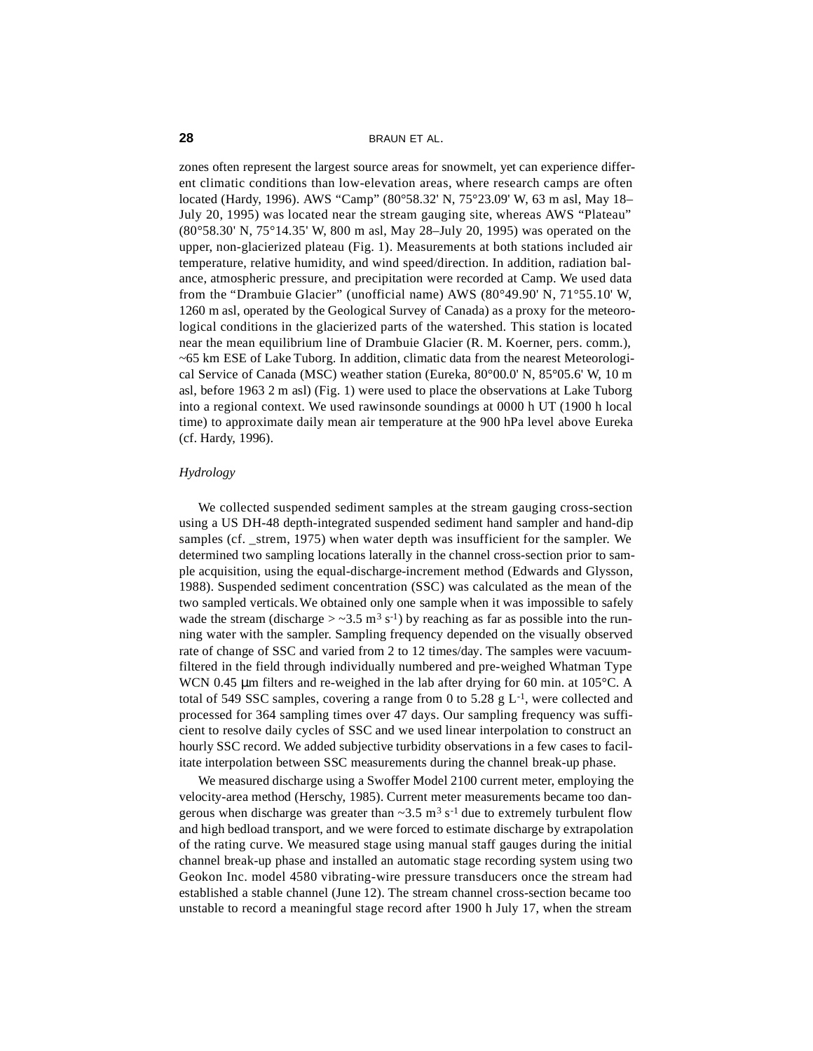zones often represent the largest source areas for snowmelt, yet can experience different climatic conditions than low-elevation areas, where research camps are often located (Hardy, 1996). AWS "Camp" (80°58.32' N, 75°23.09' W, 63 m asl, May 18– July 20, 1995) was located near the stream gauging site, whereas AWS "Plateau" (80°58.30' N, 75°14.35' W, 800 m asl, May 28–July 20, 1995) was operated on the upper, non-glacierized plateau (Fig. 1). Measurements at both stations included air temperature, relative humidity, and wind speed/direction. In addition, radiation balance, atmospheric pressure, and precipitation were recorded at Camp. We used data from the "Drambuie Glacier" (unofficial name) AWS (80°49.90' N, 71°55.10' W, 1260 m asl, operated by the Geological Survey of Canada) as a proxy for the meteorological conditions in the glacierized parts of the watershed. This station is located near the mean equilibrium line of Drambuie Glacier (R. M. Koerner, pers. comm.), ~65 km ESE of Lake Tuborg. In addition, climatic data from the nearest Meteorological Service of Canada (MSC) weather station (Eureka, 80°00.0' N, 85°05.6' W, 10 m asl, before 1963 2 m asl) (Fig. 1) were used to place the observations at Lake Tuborg into a regional context. We used rawinsonde soundings at 0000 h UT (1900 h local time) to approximate daily mean air temperature at the 900 hPa level above Eureka (cf. Hardy, 1996).

# *Hydrology*

We collected suspended sediment samples at the stream gauging cross-section using a US DH-48 depth-integrated suspended sediment hand sampler and hand-dip samples (cf. \_strem, 1975) when water depth was insufficient for the sampler. We determined two sampling locations laterally in the channel cross-section prior to sample acquisition, using the equal-discharge-increment method (Edwards and Glysson, 1988). Suspended sediment concentration (SSC) was calculated as the mean of the two sampled verticals. We obtained only one sample when it was impossible to safely wade the stream (discharge  $>$  ~3.5 m<sup>3</sup> s<sup>-1</sup>) by reaching as far as possible into the running water with the sampler. Sampling frequency depended on the visually observed rate of change of SSC and varied from 2 to 12 times/day. The samples were vacuumfiltered in the field through individually numbered and pre-weighed Whatman Type WCN 0.45 µm filters and re-weighed in the lab after drying for 60 min. at 105 °C. A total of 549 SSC samples, covering a range from 0 to 5.28 g  $L^{-1}$ , were collected and processed for 364 sampling times over 47 days. Our sampling frequency was sufficient to resolve daily cycles of SSC and we used linear interpolation to construct an hourly SSC record. We added subjective turbidity observations in a few cases to facilitate interpolation between SSC measurements during the channel break-up phase.

We measured discharge using a Swoffer Model 2100 current meter, employing the velocity-area method (Herschy, 1985). Current meter measurements became too dangerous when discharge was greater than  $\sim$ 3.5 m<sup>3</sup> s<sup>-1</sup> due to extremely turbulent flow and high bedload transport, and we were forced to estimate discharge by extrapolation of the rating curve. We measured stage using manual staff gauges during the initial channel break-up phase and installed an automatic stage recording system using two Geokon Inc. model 4580 vibrating-wire pressure transducers once the stream had established a stable channel (June 12). The stream channel cross-section became too unstable to record a meaningful stage record after 1900 h July 17, when the stream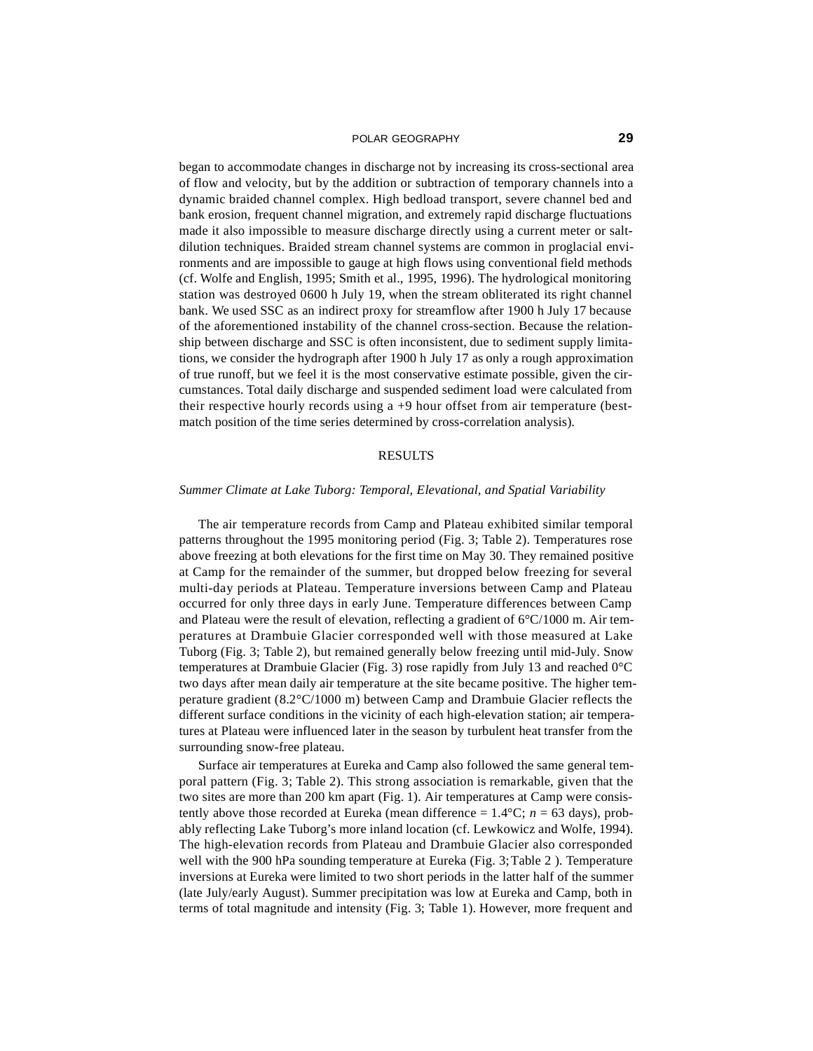#### POLAR GEOGRAPHY **29**

began to accommodate changes in discharge not by increasing its cross-sectional area of flow and velocity, but by the addition or subtraction of temporary channels into a dynamic braided channel complex. High bedload transport, severe channel bed and bank erosion, frequent channel migration, and extremely rapid discharge fluctuations made it also impossible to measure discharge directly using a current meter or saltdilution techniques. Braided stream channel systems are common in proglacial environments and are impossible to gauge at high flows using conventional field methods (cf. Wolfe and English, 1995; Smith et al., 1995, 1996). The hydrological monitoring station was destroyed 0600 h July 19, when the stream obliterated its right channel bank. We used SSC as an indirect proxy for streamflow after 1900 h July 17 because of the aforementioned instability of the channel cross-section. Because the relationship between discharge and SSC is often inconsistent, due to sediment supply limitations, we consider the hydrograph after 1900 h July 17 as only a rough approximation of true runoff, but we feel it is the most conservative estimate possible, given the circumstances. Total daily discharge and suspended sediment load were calculated from their respective hourly records using a +9 hour offset from air temperature (bestmatch position of the time series determined by cross-correlation analysis).

# RESULTS

# *Summer Climate at Lake Tuborg: Temporal, Elevational, and Spatial Variability*

The air temperature records from Camp and Plateau exhibited similar temporal patterns throughout the 1995 monitoring period (Fig. 3; Table 2). Temperatures rose above freezing at both elevations for the first time on May 30. They remained positive at Camp for the remainder of the summer, but dropped below freezing for several multi-day periods at Plateau. Temperature inversions between Camp and Plateau occurred for only three days in early June. Temperature differences between Camp and Plateau were the result of elevation, reflecting a gradient of  $6^{\circ}C/1000$  m. Air temperatures at Drambuie Glacier corresponded well with those measured at Lake Tuborg (Fig. 3; Table 2), but remained generally below freezing until mid-July. Snow temperatures at Drambuie Glacier (Fig. 3) rose rapidly from July 13 and reached 0°C two days after mean daily air temperature at the site became positive. The higher temperature gradient (8.2°C/1000 m) between Camp and Drambuie Glacier reflects the different surface conditions in the vicinity of each high-elevation station; air temperatures at Plateau were influenced later in the season by turbulent heat transfer from the surrounding snow-free plateau.

Surface air temperatures at Eureka and Camp also followed the same general temporal pattern (Fig. 3; Table 2). This strong association is remarkable, given that the two sites are more than 200 km apart (Fig. 1). Air temperatures at Camp were consistently above those recorded at Eureka (mean difference  $= 1.4$ °C;  $n = 63$  days), probably reflecting Lake Tuborg's more inland location (cf. Lewkowicz and Wolfe, 1994). The high-elevation records from Plateau and Drambuie Glacier also corresponded well with the 900 hPa sounding temperature at Eureka (Fig. 3; Table 2 ). Temperature inversions at Eureka were limited to two short periods in the latter half of the summer (late July/early August). Summer precipitation was low at Eureka and Camp, both in terms of total magnitude and intensity (Fig. 3; Table 1). However, more frequent and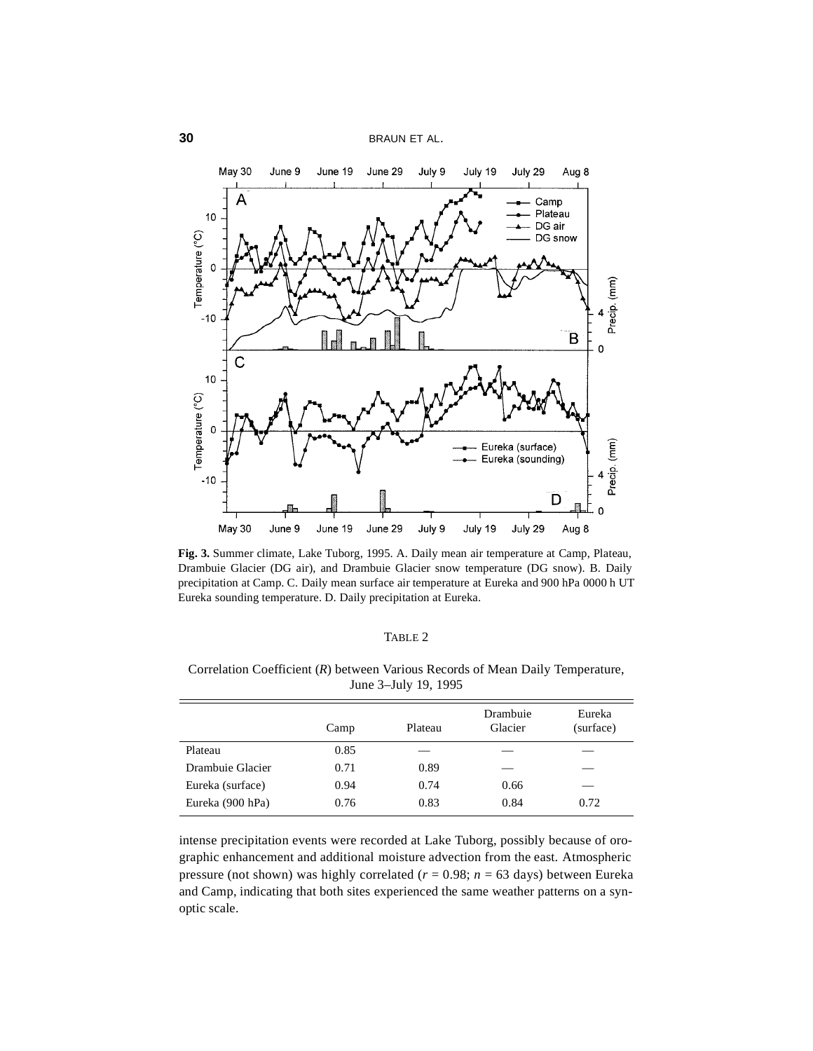

**Fig. 3.** Summer climate, Lake Tuborg, 1995. A. Daily mean air temperature at Camp, Plateau, Drambuie Glacier (DG air), and Drambuie Glacier snow temperature (DG snow). B. Daily precipitation at Camp. C. Daily mean surface air temperature at Eureka and 900 hPa 0000 h UT Eureka sounding temperature. D. Daily precipitation at Eureka.

# TABLE 2

|                  | Camp | Plateau | Drambuie<br>Glacier | Eureka<br>(surface) |
|------------------|------|---------|---------------------|---------------------|
| Plateau          | 0.85 |         |                     |                     |
| Drambuie Glacier | 0.71 | 0.89    |                     |                     |
| Eureka (surface) | 0.94 | 0.74    | 0.66                |                     |
| Eureka (900 hPa) | 0.76 | 0.83    | 0.84                | 0.72                |

Correlation Coefficient (*R*) between Various Records of Mean Daily Temperature, June 3–July 19, 1995

intense precipitation events were recorded at Lake Tuborg, possibly because of orographic enhancement and additional moisture advection from the east. Atmospheric pressure (not shown) was highly correlated (*r* = 0.98; *n* = 63 days) between Eureka and Camp, indicating that both sites experienced the same weather patterns on a synoptic scale.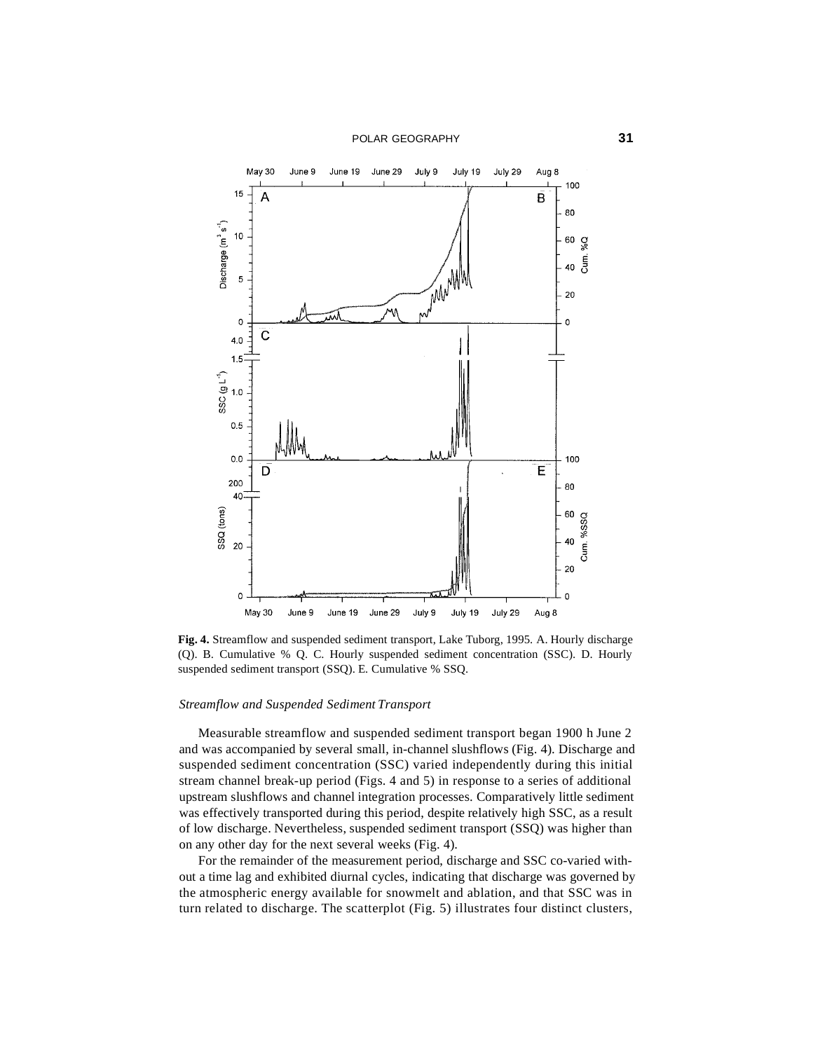

**Fig. 4.** Streamflow and suspended sediment transport, Lake Tuborg, 1995. A. Hourly discharge (Q). B. Cumulative % Q. C. Hourly suspended sediment concentration (SSC). D. Hourly suspended sediment transport (SSQ). E. Cumulative % SSQ.

#### *Streamflow and Suspended Sediment Transport*

Measurable streamflow and suspended sediment transport began 1900 h June 2 and was accompanied by several small, in-channel slushflows (Fig. 4). Discharge and suspended sediment concentration (SSC) varied independently during this initial stream channel break-up period (Figs. 4 and 5) in response to a series of additional upstream slushflows and channel integration processes. Comparatively little sediment was effectively transported during this period, despite relatively high SSC, as a result of low discharge. Nevertheless, suspended sediment transport (SSQ) was higher than on any other day for the next several weeks (Fig. 4).

For the remainder of the measurement period, discharge and SSC co-varied without a time lag and exhibited diurnal cycles, indicating that discharge was governed by the atmospheric energy available for snowmelt and ablation, and that SSC was in turn related to discharge. The scatterplot (Fig. 5) illustrates four distinct clusters,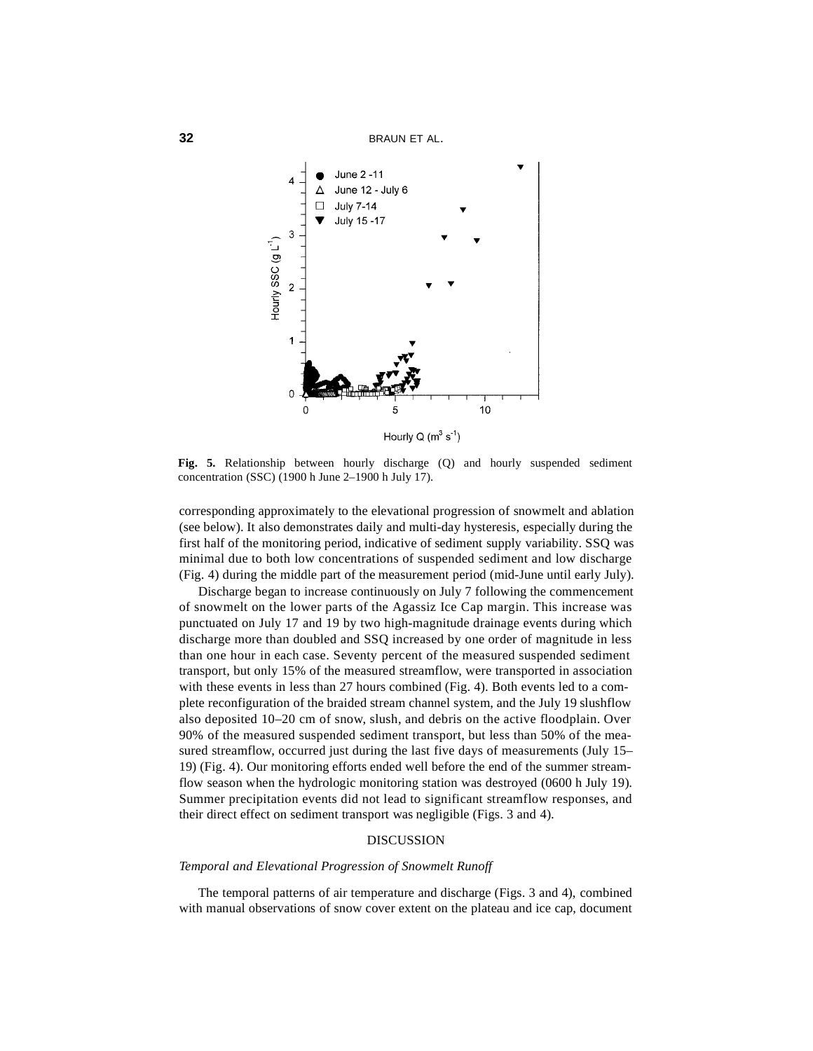

**Fig. 5.** Relationship between hourly discharge (Q) and hourly suspended sediment concentration (SSC) (1900 h June 2–1900 h July 17).

corresponding approximately to the elevational progression of snowmelt and ablation (see below). It also demonstrates daily and multi-day hysteresis, especially during the first half of the monitoring period, indicative of sediment supply variability. SSQ was minimal due to both low concentrations of suspended sediment and low discharge (Fig. 4) during the middle part of the measurement period (mid-June until early July).

Discharge began to increase continuously on July 7 following the commencement of snowmelt on the lower parts of the Agassiz Ice Cap margin. This increase was punctuated on July 17 and 19 by two high-magnitude drainage events during which discharge more than doubled and SSQ increased by one order of magnitude in less than one hour in each case. Seventy percent of the measured suspended sediment transport, but only 15% of the measured streamflow, were transported in association with these events in less than 27 hours combined (Fig. 4). Both events led to a complete reconfiguration of the braided stream channel system, and the July 19 slushflow also deposited 10–20 cm of snow, slush, and debris on the active floodplain. Over 90% of the measured suspended sediment transport, but less than 50% of the measured streamflow, occurred just during the last five days of measurements (July 15– 19) (Fig. 4). Our monitoring efforts ended well before the end of the summer streamflow season when the hydrologic monitoring station was destroyed (0600 h July 19). Summer precipitation events did not lead to significant streamflow responses, and their direct effect on sediment transport was negligible (Figs. 3 and 4).

# DISCUSSION

### *Temporal and Elevational Progression of Snowmelt Runoff*

The temporal patterns of air temperature and discharge (Figs. 3 and 4), combined with manual observations of snow cover extent on the plateau and ice cap, document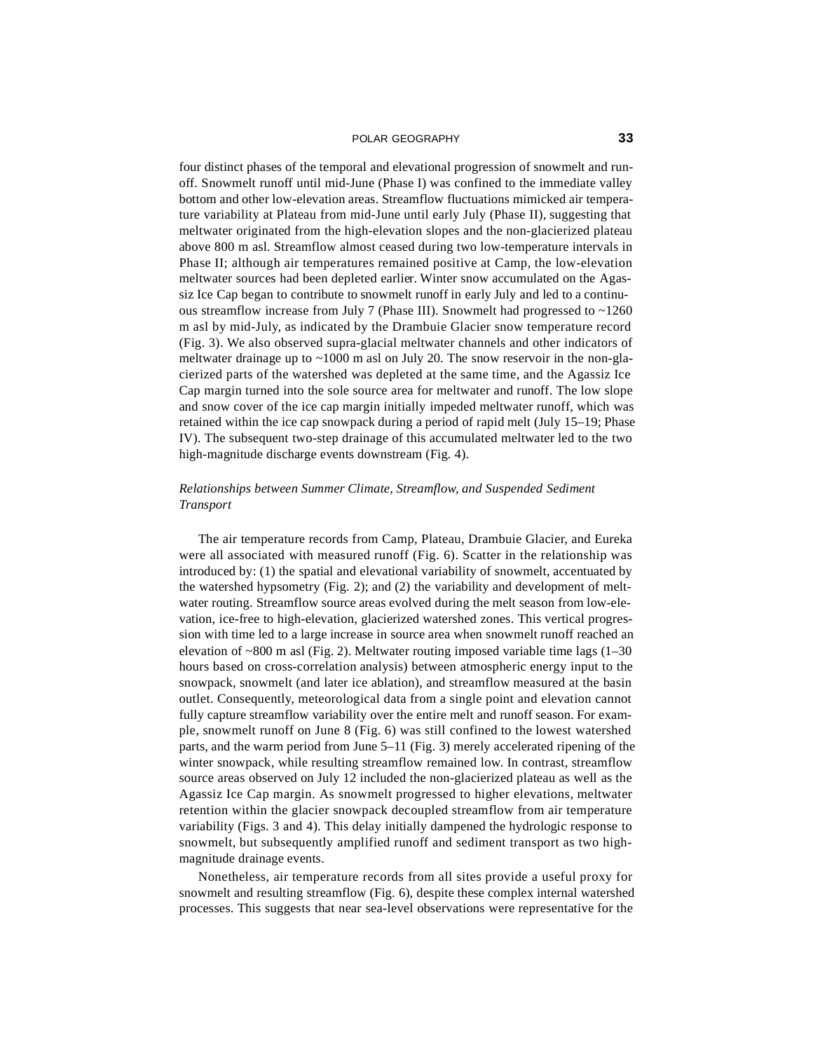#### POLAR GEOGRAPHY **33**

four distinct phases of the temporal and elevational progression of snowmelt and runoff. Snowmelt runoff until mid-June (Phase I) was confined to the immediate valley bottom and other low-elevation areas. Streamflow fluctuations mimicked air temperature variability at Plateau from mid-June until early July (Phase II), suggesting that meltwater originated from the high-elevation slopes and the non-glacierized plateau above 800 m asl. Streamflow almost ceased during two low-temperature intervals in Phase II; although air temperatures remained positive at Camp, the low-elevation meltwater sources had been depleted earlier. Winter snow accumulated on the Agassiz Ice Cap began to contribute to snowmelt runoff in early July and led to a continuous streamflow increase from July 7 (Phase III). Snowmelt had progressed to ~1260 m asl by mid-July, as indicated by the Drambuie Glacier snow temperature record (Fig. 3). We also observed supra-glacial meltwater channels and other indicators of meltwater drainage up to  $\sim$ 1000 m asl on July 20. The snow reservoir in the non-glacierized parts of the watershed was depleted at the same time, and the Agassiz Ice Cap margin turned into the sole source area for meltwater and runoff. The low slope and snow cover of the ice cap margin initially impeded meltwater runoff, which was retained within the ice cap snowpack during a period of rapid melt (July 15–19; Phase IV). The subsequent two-step drainage of this accumulated meltwater led to the two high-magnitude discharge events downstream (Fig. 4).

# *Relationships between Summer Climate, Streamflow, and Suspended Sediment Transport*

The air temperature records from Camp, Plateau, Drambuie Glacier, and Eureka were all associated with measured runoff (Fig. 6). Scatter in the relationship was introduced by: (1) the spatial and elevational variability of snowmelt, accentuated by the watershed hypsometry (Fig. 2); and (2) the variability and development of meltwater routing. Streamflow source areas evolved during the melt season from low-elevation, ice-free to high-elevation, glacierized watershed zones. This vertical progression with time led to a large increase in source area when snowmelt runoff reached an elevation of  $\sim 800$  m asl (Fig. 2). Meltwater routing imposed variable time lags (1–30) hours based on cross-correlation analysis) between atmospheric energy input to the snowpack, snowmelt (and later ice ablation), and streamflow measured at the basin outlet. Consequently, meteorological data from a single point and elevation cannot fully capture streamflow variability over the entire melt and runoff season. For example, snowmelt runoff on June 8 (Fig. 6) was still confined to the lowest watershed parts, and the warm period from June 5–11 (Fig. 3) merely accelerated ripening of the winter snowpack, while resulting streamflow remained low. In contrast, streamflow source areas observed on July 12 included the non-glacierized plateau as well as the Agassiz Ice Cap margin. As snowmelt progressed to higher elevations, meltwater retention within the glacier snowpack decoupled streamflow from air temperature variability (Figs. 3 and 4). This delay initially dampened the hydrologic response to snowmelt, but subsequently amplified runoff and sediment transport as two highmagnitude drainage events.

Nonetheless, air temperature records from all sites provide a useful proxy for snowmelt and resulting streamflow (Fig. 6), despite these complex internal watershed processes. This suggests that near sea-level observations were representative for the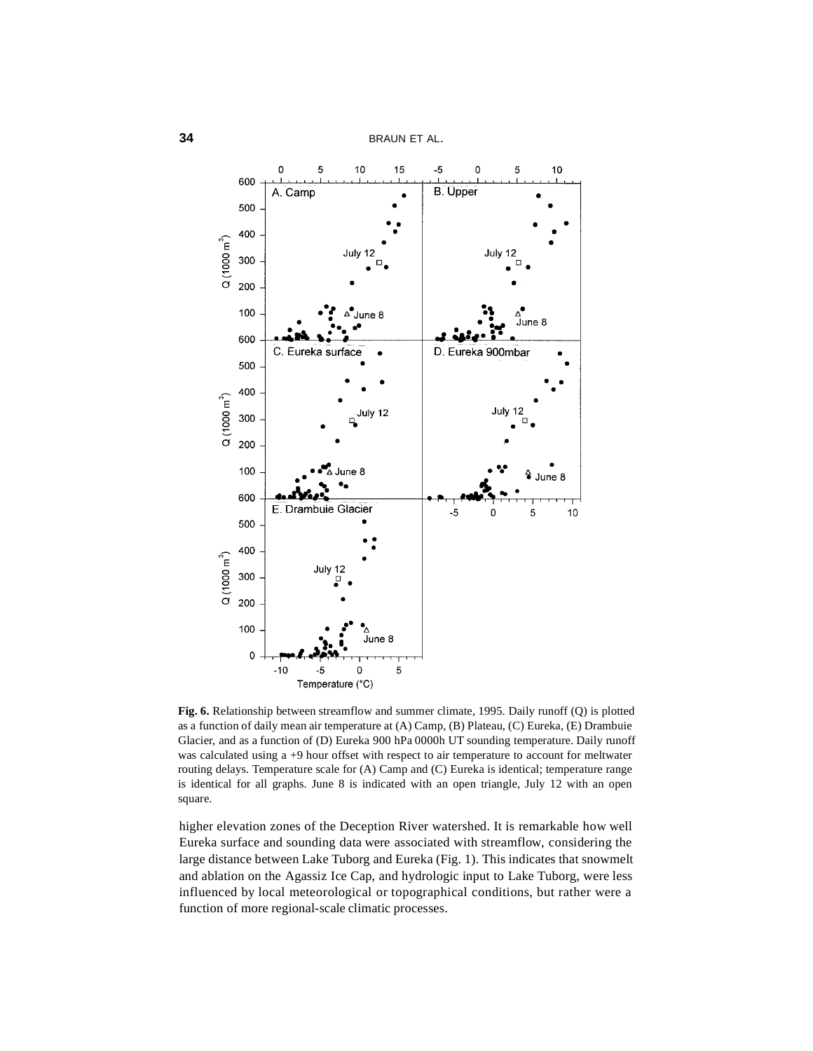

**Fig. 6.** Relationship between streamflow and summer climate, 1995. Daily runoff (Q) is plotted as a function of daily mean air temperature at (A) Camp, (B) Plateau, (C) Eureka, (E) Drambuie Glacier, and as a function of (D) Eureka 900 hPa 0000h UT sounding temperature. Daily runoff was calculated using a +9 hour offset with respect to air temperature to account for meltwater routing delays. Temperature scale for (A) Camp and (C) Eureka is identical; temperature range is identical for all graphs. June 8 is indicated with an open triangle, July 12 with an open square.

higher elevation zones of the Deception River watershed. It is remarkable how well Eureka surface and sounding data were associated with streamflow, considering the large distance between Lake Tuborg and Eureka (Fig. 1). This indicates that snowmelt and ablation on the Agassiz Ice Cap, and hydrologic input to Lake Tuborg, were less influenced by local meteorological or topographical conditions, but rather were a function of more regional-scale climatic processes.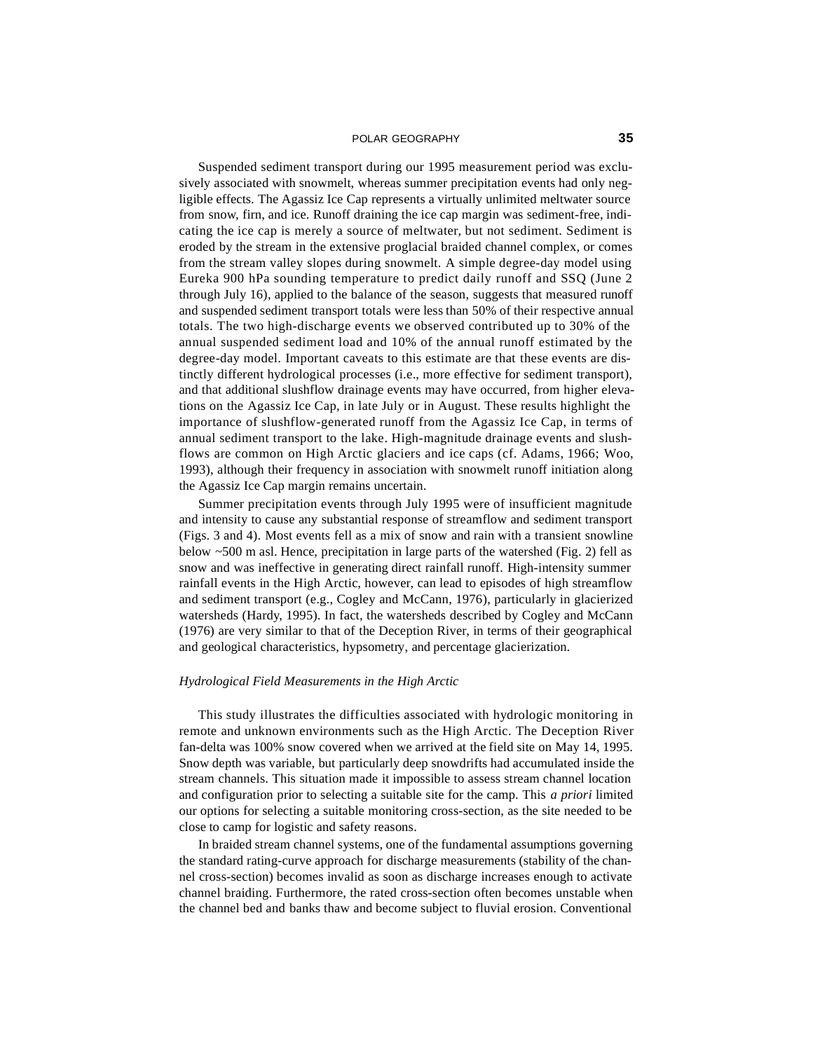#### POLAR GEOGRAPHY **35**

Suspended sediment transport during our 1995 measurement period was exclusively associated with snowmelt, whereas summer precipitation events had only negligible effects. The Agassiz Ice Cap represents a virtually unlimited meltwater source from snow, firn, and ice. Runoff draining the ice cap margin was sediment-free, indicating the ice cap is merely a source of meltwater, but not sediment. Sediment is eroded by the stream in the extensive proglacial braided channel complex, or comes from the stream valley slopes during snowmelt. A simple degree-day model using Eureka 900 hPa sounding temperature to predict daily runoff and SSQ (June 2 through July 16), applied to the balance of the season, suggests that measured runoff and suspended sediment transport totals were less than 50% of their respective annual totals. The two high-discharge events we observed contributed up to 30% of the annual suspended sediment load and 10% of the annual runoff estimated by the degree-day model. Important caveats to this estimate are that these events are distinctly different hydrological processes (i.e., more effective for sediment transport), and that additional slushflow drainage events may have occurred, from higher elevations on the Agassiz Ice Cap, in late July or in August. These results highlight the importance of slushflow-generated runoff from the Agassiz Ice Cap, in terms of annual sediment transport to the lake. High-magnitude drainage events and slushflows are common on High Arctic glaciers and ice caps (cf. Adams, 1966; Woo, 1993), although their frequency in association with snowmelt runoff initiation along the Agassiz Ice Cap margin remains uncertain.

Summer precipitation events through July 1995 were of insufficient magnitude and intensity to cause any substantial response of streamflow and sediment transport (Figs. 3 and 4). Most events fell as a mix of snow and rain with a transient snowline below ~500 m asl. Hence, precipitation in large parts of the watershed (Fig. 2) fell as snow and was ineffective in generating direct rainfall runoff. High-intensity summer rainfall events in the High Arctic, however, can lead to episodes of high streamflow and sediment transport (e.g., Cogley and McCann, 1976), particularly in glacierized watersheds (Hardy, 1995). In fact, the watersheds described by Cogley and McCann (1976) are very similar to that of the Deception River, in terms of their geographical and geological characteristics, hypsometry, and percentage glacierization.

# *Hydrological Field Measurements in the High Arctic*

This study illustrates the difficulties associated with hydrologic monitoring in remote and unknown environments such as the High Arctic. The Deception River fan-delta was 100% snow covered when we arrived at the field site on May 14, 1995. Snow depth was variable, but particularly deep snowdrifts had accumulated inside the stream channels. This situation made it impossible to assess stream channel location and configuration prior to selecting a suitable site for the camp. This *a priori* limited our options for selecting a suitable monitoring cross-section, as the site needed to be close to camp for logistic and safety reasons.

In braided stream channel systems, one of the fundamental assumptions governing the standard rating-curve approach for discharge measurements (stability of the channel cross-section) becomes invalid as soon as discharge increases enough to activate channel braiding. Furthermore, the rated cross-section often becomes unstable when the channel bed and banks thaw and become subject to fluvial erosion. Conventional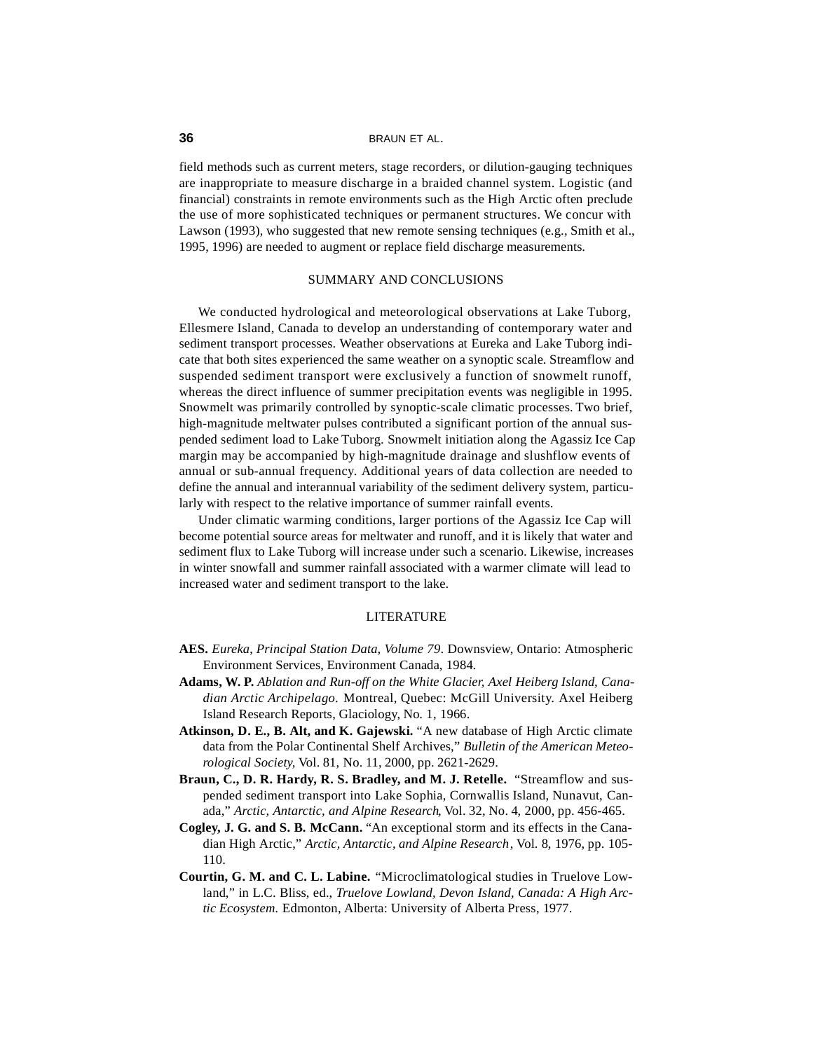#### **36** BRAUN ET AL.

field methods such as current meters, stage recorders, or dilution-gauging techniques are inappropriate to measure discharge in a braided channel system. Logistic (and financial) constraints in remote environments such as the High Arctic often preclude the use of more sophisticated techniques or permanent structures. We concur with Lawson (1993), who suggested that new remote sensing techniques (e.g., Smith et al., 1995, 1996) are needed to augment or replace field discharge measurements.

# SUMMARY AND CONCLUSIONS

We conducted hydrological and meteorological observations at Lake Tuborg, Ellesmere Island, Canada to develop an understanding of contemporary water and sediment transport processes. Weather observations at Eureka and Lake Tuborg indicate that both sites experienced the same weather on a synoptic scale. Streamflow and suspended sediment transport were exclusively a function of snowmelt runoff, whereas the direct influence of summer precipitation events was negligible in 1995. Snowmelt was primarily controlled by synoptic-scale climatic processes. Two brief, high-magnitude meltwater pulses contributed a significant portion of the annual suspended sediment load to Lake Tuborg. Snowmelt initiation along the Agassiz Ice Cap margin may be accompanied by high-magnitude drainage and slushflow events of annual or sub-annual frequency. Additional years of data collection are needed to define the annual and interannual variability of the sediment delivery system, particularly with respect to the relative importance of summer rainfall events.

Under climatic warming conditions, larger portions of the Agassiz Ice Cap will become potential source areas for meltwater and runoff, and it is likely that water and sediment flux to Lake Tuborg will increase under such a scenario. Likewise, increases in winter snowfall and summer rainfall associated with a warmer climate will lead to increased water and sediment transport to the lake.

### **LITERATURE**

- **AES.** *Eureka*, *Principal Station Data, Volume 79*. Downsview, Ontario: Atmospheric Environment Services, Environment Canada, 1984.
- **Adams, W. P.** *Ablation and Run-off on the White Glacier, Axel Heiberg Island, Canadian Arctic Archipelago.* Montreal, Quebec: McGill University. Axel Heiberg Island Research Reports, Glaciology, No. 1, 1966.
- **Atkinson, D. E., B. Alt, and K. Gajewski.** "A new database of High Arctic climate data from the Polar Continental Shelf Archives," *Bulletin of the American Meteorological Society*, Vol. 81, No. 11, 2000, pp. 2621-2629.
- **Braun, C., D. R. Hardy, R. S. Bradley, and M. J. Retelle.** "Streamflow and suspended sediment transport into Lake Sophia, Cornwallis Island, Nunavut, Canada," *Arctic, Antarctic, and Alpine Research*, Vol. 32, No. 4, 2000, pp. 456-465.
- **Cogley, J. G. and S. B. McCann.** "An exceptional storm and its effects in the Canadian High Arctic," *Arctic, Antarctic, and Alpine Research*, Vol. 8, 1976, pp. 105- 110.
- **Courtin, G. M. and C. L. Labine.** "Microclimatological studies in Truelove Lowland," in L.C. Bliss, ed., *Truelove Lowland, Devon Island, Canada: A High Arctic Ecosystem.* Edmonton, Alberta: University of Alberta Press, 1977.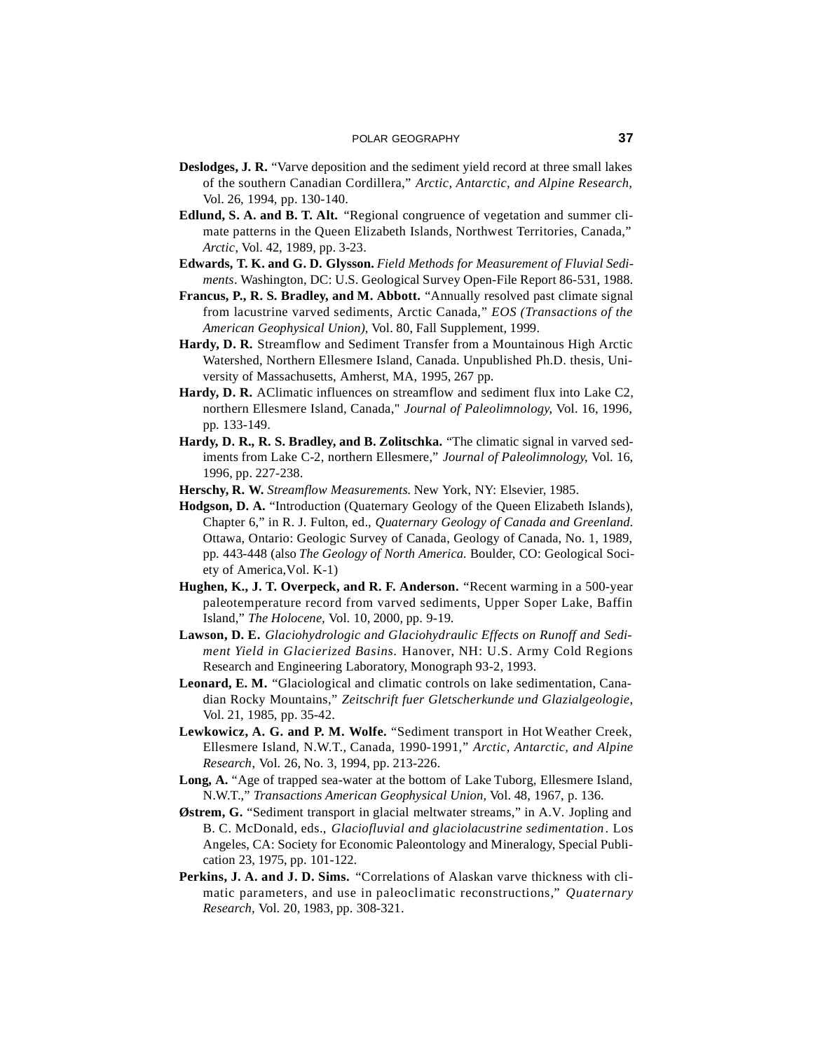- **Deslodges, J. R.** "Varve deposition and the sediment yield record at three small lakes of the southern Canadian Cordillera," *Arctic, Antarctic, and Alpine Research,* Vol. 26, 1994, pp. 130-140.
- **Edlund, S. A. and B. T. Alt.** "Regional congruence of vegetation and summer climate patterns in the Queen Elizabeth Islands, Northwest Territories, Canada," *Arctic*, Vol. 42, 1989, pp. 3-23.
- **Edwards, T. K. and G. D. Glysson.** *Field Methods for Measurement of Fluvial Sediments*. Washington, DC: U.S. Geological Survey Open-File Report 86-531, 1988.
- **Francus, P., R. S. Bradley, and M. Abbott.** "Annually resolved past climate signal from lacustrine varved sediments, Arctic Canada," *EOS (Transactions of the American Geophysical Union)*, Vol. 80, Fall Supplement, 1999.
- **Hardy, D. R.** Streamflow and Sediment Transfer from a Mountainous High Arctic Watershed, Northern Ellesmere Island, Canada. Unpublished Ph.D. thesis, University of Massachusetts, Amherst, MA, 1995, 267 pp.
- **Hardy, D. R.** AClimatic influences on streamflow and sediment flux into Lake C2, northern Ellesmere Island, Canada," *Journal of Paleolimnology*, Vol. 16, 1996, pp. 133-149.
- **Hardy, D. R., R. S. Bradley, and B. Zolitschka.** "The climatic signal in varved sediments from Lake C-2, northern Ellesmere," *Journal of Paleolimnology*, Vol. 16, 1996, pp. 227-238.
- **Herschy, R. W.** *Streamflow Measurements*. New York, NY: Elsevier, 1985.
- **Hodgson, D. A.** "Introduction (Quaternary Geology of the Queen Elizabeth Islands), Chapter 6," in R. J. Fulton, ed., *Quaternary Geology of Canada and Greenland*. Ottawa, Ontario: Geologic Survey of Canada, Geology of Canada, No. 1, 1989, pp. 443-448 (also *The Geology of North America*. Boulder, CO: Geological Society of America, Vol. K-1)
- **Hughen, K., J. T. Overpeck, and R. F. Anderson.** "Recent warming in a 500-year paleotemperature record from varved sediments, Upper Soper Lake, Baffin Island," *The Holocene,* Vol. 10, 2000, pp. 9-19.
- **Lawson, D. E.** *Glaciohydrologic and Glaciohydraulic Effects on Runoff and Sediment Yield in Glacierized Basins.* Hanover, NH: U.S. Army Cold Regions Research and Engineering Laboratory, Monograph 93-2, 1993.
- **Leonard, E. M.** "Glaciological and climatic controls on lake sedimentation, Canadian Rocky Mountains," *Zeitschrift fuer Gletscherkunde und Glazialgeologie*, Vol. 21, 1985, pp. 35-42.
- **Lewkowicz, A. G. and P. M. Wolfe.** "Sediment transport in Hot Weather Creek, Ellesmere Island, N.W.T., Canada, 1990-1991," *Arctic, Antarctic, and Alpine Research*, Vol. 26, No. 3, 1994, pp. 213-226.
- **Long, A.** "Age of trapped sea-water at the bottom of Lake Tuborg, Ellesmere Island, N.W.T.," *Transactions American Geophysical Union,* Vol. 48, 1967, p. 136.
- **Østrem, G.** "Sediment transport in glacial meltwater streams," in A.V. Jopling and B. C. McDonald, eds., *Glaciofluvial and glaciolacustrine sedimentation*. Los Angeles, CA: Society for Economic Paleontology and Mineralogy, Special Publication 23, 1975, pp. 101-122.
- **Perkins, J. A. and J. D. Sims.** "Correlations of Alaskan varve thickness with climatic parameters, and use in paleoclimatic reconstructions," *Quaternary Research,* Vol. 20, 1983, pp. 308-321.